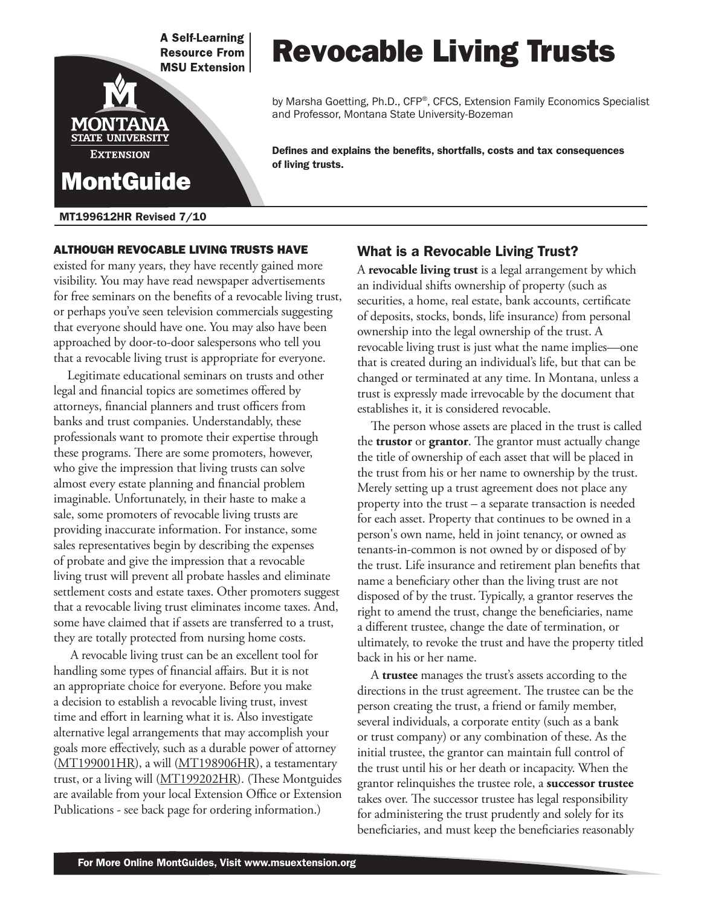**A Self-Learning Resource From MSU Extension** 

# Revocable Living Trusts

by Marsha Goetting, Ph.D., CFP®, CFCS, Extension Family Economics Specialist and Professor, Montana State University-Bozeman

Defines and explains the benefits, shortfalls, costs and tax consequences of living trusts.

#### MT199612HR Revised 7/10

MontGuide

MONTANA **STATE UNIVERSITY EXTENSION** 

#### Although revocable living trusts have

existed for many years, they have recently gained more visibility. You may have read newspaper advertisements for free seminars on the benefits of a revocable living trust, or perhaps you've seen television commercials suggesting that everyone should have one. You may also have been approached by door-to-door salespersons who tell you that a revocable living trust is appropriate for everyone.

Legitimate educational seminars on trusts and other legal and financial topics are sometimes offered by attorneys, financial planners and trust officers from banks and trust companies. Understandably, these professionals want to promote their expertise through these programs. There are some promoters, however, who give the impression that living trusts can solve almost every estate planning and financial problem imaginable. Unfortunately, in their haste to make a sale, some promoters of revocable living trusts are providing inaccurate information. For instance, some sales representatives begin by describing the expenses of probate and give the impression that a revocable living trust will prevent all probate hassles and eliminate settlement costs and estate taxes. Other promoters suggest that a revocable living trust eliminates income taxes. And, some have claimed that if assets are transferred to a trust, they are totally protected from nursing home costs.

 A revocable living trust can be an excellent tool for handling some types of financial affairs. But it is not an appropriate choice for everyone. Before you make a decision to establish a revocable living trust, invest time and effort in learning what it is. Also investigate alternative legal arrangements that may accomplish your goals more effectively, such as a durable power of attorney  $(MT199001HR)$  $(MT199001HR)$ , a will  $(MT198906HR)$  $(MT198906HR)$  $(MT198906HR)$ , a testamentary trust, or a living will (M[T199202HR](http://msuextension.org/publications/FamilyFinancialManagement/MT199202HR.pdf)). (These Montguides are available from your local Extension Office or Extension Publications - see back page for ordering information.)

### What is a Revocable Living Trust?

A **revocable living trust** is a legal arrangement by which an individual shifts ownership of property (such as securities, a home, real estate, bank accounts, certificate of deposits, stocks, bonds, life insurance) from personal ownership into the legal ownership of the trust. A revocable living trust is just what the name implies—one that is created during an individual's life, but that can be changed or terminated at any time. In Montana, unless a trust is expressly made irrevocable by the document that establishes it, it is considered revocable.

The person whose assets are placed in the trust is called the **trustor** or **grantor**. The grantor must actually change the title of ownership of each asset that will be placed in the trust from his or her name to ownership by the trust. Merely setting up a trust agreement does not place any property into the trust – a separate transaction is needed for each asset. Property that continues to be owned in a person's own name, held in joint tenancy, or owned as tenants-in-common is not owned by or disposed of by the trust. Life insurance and retirement plan benefits that name a beneficiary other than the living trust are not disposed of by the trust. Typically, a grantor reserves the right to amend the trust, change the beneficiaries, name a different trustee, change the date of termination, or ultimately, to revoke the trust and have the property titled back in his or her name.

A **trustee** manages the trust's assets according to the directions in the trust agreement. The trustee can be the person creating the trust, a friend or family member, several individuals, a corporate entity (such as a bank or trust company) or any combination of these. As the initial trustee, the grantor can maintain full control of the trust until his or her death or incapacity. When the grantor relinquishes the trustee role, a **successor trustee** takes over. The successor trustee has legal responsibility for administering the trust prudently and solely for its beneficiaries, and must keep the beneficiaries reasonably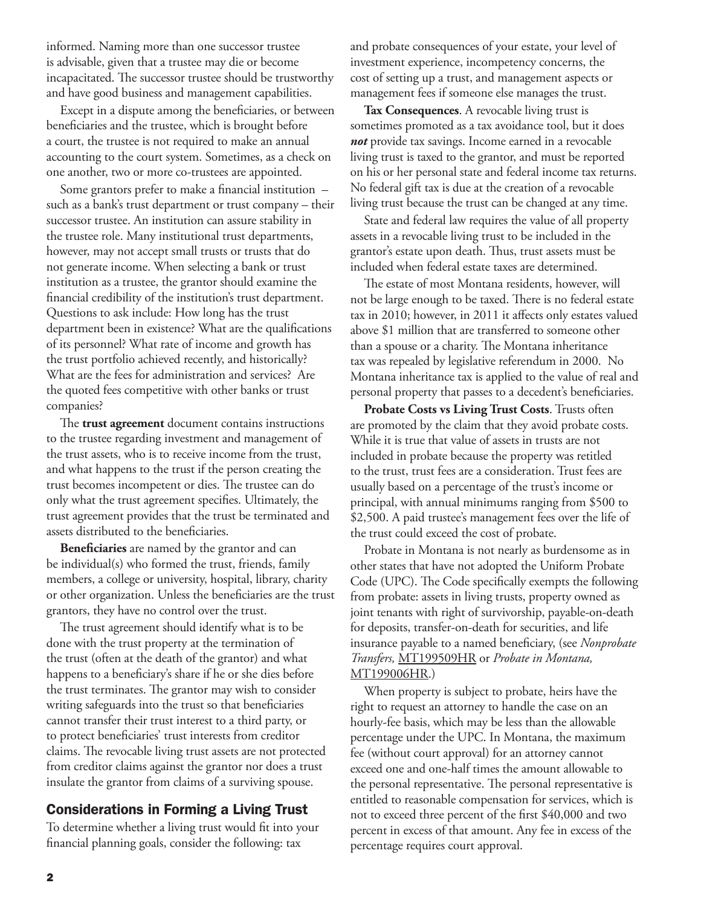informed. Naming more than one successor trustee is advisable, given that a trustee may die or become incapacitated. The successor trustee should be trustworthy and have good business and management capabilities.

Except in a dispute among the beneficiaries, or between beneficiaries and the trustee, which is brought before a court, the trustee is not required to make an annual accounting to the court system. Sometimes, as a check on one another, two or more co-trustees are appointed.

Some grantors prefer to make a financial institution – such as a bank's trust department or trust company – their successor trustee. An institution can assure stability in the trustee role. Many institutional trust departments, however, may not accept small trusts or trusts that do not generate income. When selecting a bank or trust institution as a trustee, the grantor should examine the financial credibility of the institution's trust department. Questions to ask include: How long has the trust department been in existence? What are the qualifications of its personnel? What rate of income and growth has the trust portfolio achieved recently, and historically? What are the fees for administration and services? Are the quoted fees competitive with other banks or trust companies?

The **trust agreement** document contains instructions to the trustee regarding investment and management of the trust assets, who is to receive income from the trust, and what happens to the trust if the person creating the trust becomes incompetent or dies. The trustee can do only what the trust agreement specifies. Ultimately, the trust agreement provides that the trust be terminated and assets distributed to the beneficiaries.

**Beneficiaries** are named by the grantor and can be individual(s) who formed the trust, friends, family members, a college or university, hospital, library, charity or other organization. Unless the beneficiaries are the trust grantors, they have no control over the trust.

The trust agreement should identify what is to be done with the trust property at the termination of the trust (often at the death of the grantor) and what happens to a beneficiary's share if he or she dies before the trust terminates. The grantor may wish to consider writing safeguards into the trust so that beneficiaries cannot transfer their trust interest to a third party, or to protect beneficiaries' trust interests from creditor claims. The revocable living trust assets are not protected from creditor claims against the grantor nor does a trust insulate the grantor from claims of a surviving spouse.

## Considerations in Forming a Living Trust

To determine whether a living trust would fit into your financial planning goals, consider the following: tax

and probate consequences of your estate, your level of investment experience, incompetency concerns, the cost of setting up a trust, and management aspects or management fees if someone else manages the trust.

**Tax Consequences**. A revocable living trust is sometimes promoted as a tax avoidance tool, but it does *not* provide tax savings. Income earned in a revocable living trust is taxed to the grantor, and must be reported on his or her personal state and federal income tax returns. No federal gift tax is due at the creation of a revocable living trust because the trust can be changed at any time.

State and federal law requires the value of all property assets in a revocable living trust to be included in the grantor's estate upon death. Thus, trust assets must be included when federal estate taxes are determined.

The estate of most Montana residents, however, will not be large enough to be taxed. There is no federal estate tax in 2010; however, in 2011 it affects only estates valued above \$1 million that are transferred to someone other than a spouse or a charity. The Montana inheritance tax was repealed by legislative referendum in 2000. No Montana inheritance tax is applied to the value of real and personal property that passes to a decedent's beneficiaries.

**Probate Costs vs Living Trust Costs**. Trusts often are promoted by the claim that they avoid probate costs. While it is true that value of assets in trusts are not included in probate because the property was retitled to the trust, trust fees are a consideration. Trust fees are usually based on a percentage of the trust's income or principal, with annual minimums ranging from \$500 to \$2,500. A paid trustee's management fees over the life of the trust could exceed the cost of probate.

Probate in Montana is not nearly as burdensome as in other states that have not adopted the Uniform Probate Code (UPC). The Code specifically exempts the following from probate: assets in living trusts, property owned as joint tenants with right of survivorship, payable-on-death for deposits, transfer-on-death for securities, and life insurance payable to a named beneficiary, (see *Nonprobate Transfers,* [MT199509HR](http://msuextension.org/publications/FamilyFinancialManagement/MT199509HR.pdf) or *Probate in Montana,*  [MT199006HR](http://msuextension.org/publications/FamilyFinancialManagement/MT199006HR.pdf).)

When property is subject to probate, heirs have the right to request an attorney to handle the case on an hourly-fee basis, which may be less than the allowable percentage under the UPC. In Montana, the maximum fee (without court approval) for an attorney cannot exceed one and one-half times the amount allowable to the personal representative. The personal representative is entitled to reasonable compensation for services, which is not to exceed three percent of the first \$40,000 and two percent in excess of that amount. Any fee in excess of the percentage requires court approval.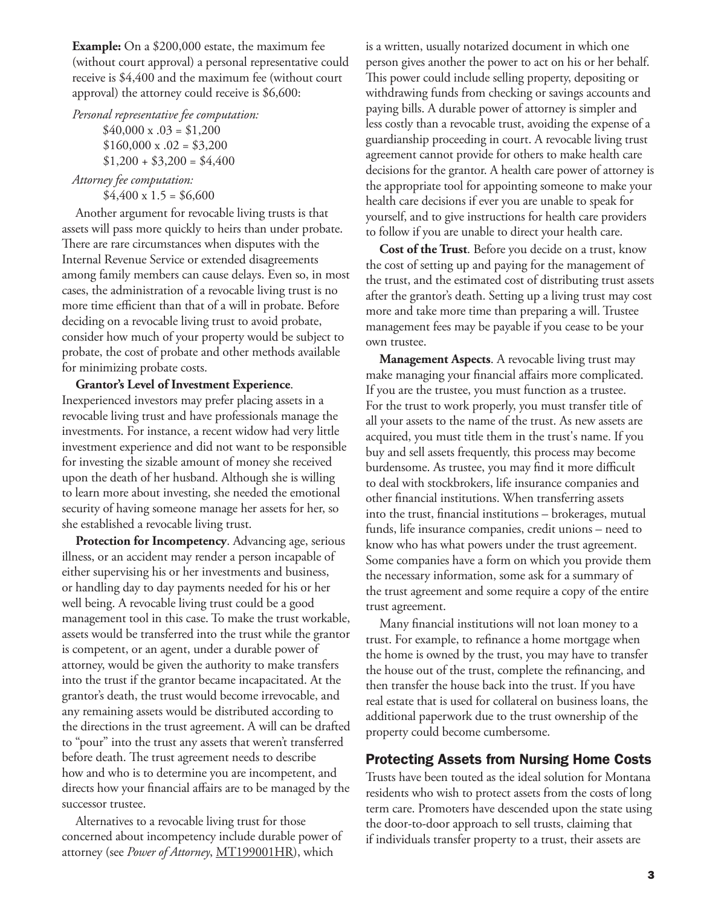**Example:** On a \$200,000 estate, the maximum fee (without court approval) a personal representative could receive is \$4,400 and the maximum fee (without court approval) the attorney could receive is \$6,600:

*Personal representative fee computation:*  $$40,000 \times .03 = $1,200$  $$160,000 \times .02 = $3,200$  $$1,200 + $3,200 = $4,400$ 

*Attorney fee computation:*  $$4,400 \times 1.5 = $6,600$ 

Another argument for revocable living trusts is that assets will pass more quickly to heirs than under probate. There are rare circumstances when disputes with the Internal Revenue Service or extended disagreements among family members can cause delays. Even so, in most cases, the administration of a revocable living trust is no more time efficient than that of a will in probate. Before deciding on a revocable living trust to avoid probate, consider how much of your property would be subject to probate, the cost of probate and other methods available for minimizing probate costs.

**Grantor's Level of Investment Experience**. Inexperienced investors may prefer placing assets in a revocable living trust and have professionals manage the investments. For instance, a recent widow had very little investment experience and did not want to be responsible for investing the sizable amount of money she received upon the death of her husband. Although she is willing to learn more about investing, she needed the emotional security of having someone manage her assets for her, so she established a revocable living trust.

**Protection for Incompetency**. Advancing age, serious illness, or an accident may render a person incapable of either supervising his or her investments and business, or handling day to day payments needed for his or her well being. A revocable living trust could be a good management tool in this case. To make the trust workable, assets would be transferred into the trust while the grantor is competent, or an agent, under a durable power of attorney, would be given the authority to make transfers into the trust if the grantor became incapacitated. At the grantor's death, the trust would become irrevocable, and any remaining assets would be distributed according to the directions in the trust agreement. A will can be drafted to "pour" into the trust any assets that weren't transferred before death. The trust agreement needs to describe how and who is to determine you are incompetent, and directs how your financial affairs are to be managed by the successor trustee.

Alternatives to a revocable living trust for those concerned about incompetency include durable power of attorney (see *Power of Attorney*, [MT199001HR](http://msuextension.org/publications/FamilyFinancialManagement/MT199001HR.pdf)), which

is a written, usually notarized document in which one person gives another the power to act on his or her behalf. This power could include selling property, depositing or withdrawing funds from checking or savings accounts and paying bills. A durable power of attorney is simpler and less costly than a revocable trust, avoiding the expense of a guardianship proceeding in court. A revocable living trust agreement cannot provide for others to make health care decisions for the grantor. A health care power of attorney is the appropriate tool for appointing someone to make your health care decisions if ever you are unable to speak for yourself, and to give instructions for health care providers to follow if you are unable to direct your health care.

**Cost of the Trust**. Before you decide on a trust, know the cost of setting up and paying for the management of the trust, and the estimated cost of distributing trust assets after the grantor's death. Setting up a living trust may cost more and take more time than preparing a will. Trustee management fees may be payable if you cease to be your own trustee.

**Management Aspects**. A revocable living trust may make managing your financial affairs more complicated. If you are the trustee, you must function as a trustee. For the trust to work properly, you must transfer title of all your assets to the name of the trust. As new assets are acquired, you must title them in the trust's name. If you buy and sell assets frequently, this process may become burdensome. As trustee, you may find it more difficult to deal with stockbrokers, life insurance companies and other financial institutions. When transferring assets into the trust, financial institutions – brokerages, mutual funds, life insurance companies, credit unions – need to know who has what powers under the trust agreement. Some companies have a form on which you provide them the necessary information, some ask for a summary of the trust agreement and some require a copy of the entire trust agreement.

Many financial institutions will not loan money to a trust. For example, to refinance a home mortgage when the home is owned by the trust, you may have to transfer the house out of the trust, complete the refinancing, and then transfer the house back into the trust. If you have real estate that is used for collateral on business loans, the additional paperwork due to the trust ownership of the property could become cumbersome.

# Protecting Assets from Nursing Home Costs

Trusts have been touted as the ideal solution for Montana residents who wish to protect assets from the costs of long term care. Promoters have descended upon the state using the door-to-door approach to sell trusts, claiming that if individuals transfer property to a trust, their assets are